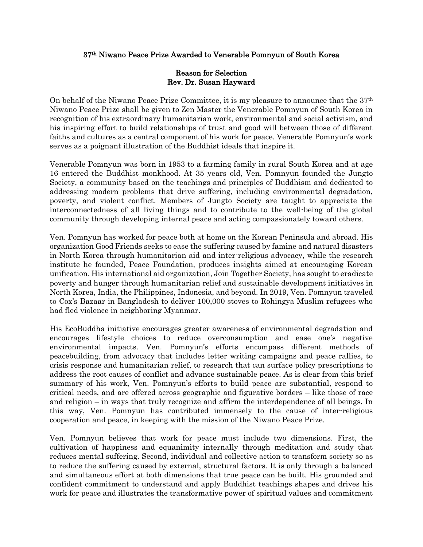## 37th Niwano Peace Prize Awarded to Venerable Pomnyun of South Korea

## Reason for Selection Rev. Dr. Susan Hayward

On behalf of the Niwano Peace Prize Committee, it is my pleasure to announce that the  $37<sup>th</sup>$ Niwano Peace Prize shall be given to Zen Master the Venerable Pomnyun of South Korea in recognition of his extraordinary humanitarian work, environmental and social activism, and his inspiring effort to build relationships of trust and good will between those of different faiths and cultures as a central component of his work for peace. Venerable Pomnyun's work serves as a poignant illustration of the Buddhist ideals that inspire it.

Venerable Pomnyun was born in 1953 to a farming family in rural South Korea and at age 16 entered the Buddhist monkhood. At 35 years old, Ven. Pomnyun founded the Jungto Society, a community based on the teachings and principles of Buddhism and dedicated to addressing modern problems that drive suffering, including environmental degradation, poverty, and violent conflict. Members of Jungto Society are taught to appreciate the interconnectedness of all living things and to contribute to the well-being of the global community through developing internal peace and acting compassionately toward others.

Ven. Pomnyun has worked for peace both at home on the Korean Peninsula and abroad. His organization Good Friends seeks to ease the suffering caused by famine and natural disasters in North Korea through humanitarian aid and inter-religious advocacy, while the research institute he founded, Peace Foundation, produces insights aimed at encouraging Korean unification. His international aid organization, Join Together Society, has sought to eradicate poverty and hunger through humanitarian relief and sustainable development initiatives in North Korea, India, the Philippines, Indonesia, and beyond. In 2019, Ven. Pomnyun traveled to Cox's Bazaar in Bangladesh to deliver 100,000 stoves to Rohingya Muslim refugees who had fled violence in neighboring Myanmar.

His EcoBuddha initiative encourages greater awareness of environmental degradation and encourages lifestyle choices to reduce overconsumption and ease one's negative environmental impacts. Ven. Pomnyun's efforts encompass different methods of peacebuilding, from advocacy that includes letter writing campaigns and peace rallies, to crisis response and humanitarian relief, to research that can surface policy prescriptions to address the root causes of conflict and advance sustainable peace. As is clear from this brief summary of his work, Ven. Pomnyun's efforts to build peace are substantial, respond to critical needs, and are offered across geographic and figurative borders – like those of race and religion – in ways that truly recognize and affirm the interdependence of all beings. In this way, Ven. Pomnyun has contributed immensely to the cause of inter-religious cooperation and peace, in keeping with the mission of the Niwano Peace Prize.

Ven. Pomnyun believes that work for peace must include two dimensions. First, the cultivation of happiness and equanimity internally through meditation and study that reduces mental suffering. Second, individual and collective action to transform society so as to reduce the suffering caused by external, structural factors. It is only through a balanced and simultaneous effort at both dimensions that true peace can be built. His grounded and confident commitment to understand and apply Buddhist teachings shapes and drives his work for peace and illustrates the transformative power of spiritual values and commitment